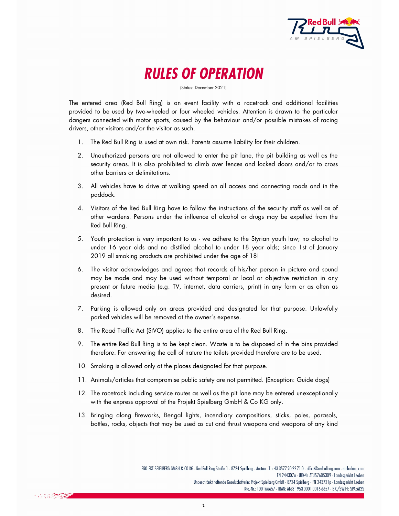

RULES OF OPERATION

(Status: December 2021)

The entered area (Red Bull Ring) is an event facility with a racetrack and additional facilities provided to be used by two-wheeled or four wheeled vehicles. Attention is drawn to the particular dangers connected with motor sports, caused by the behaviour and/or possible mistakes of racing drivers, other visitors and/or the visitor as such.

- 1. The Red Bull Ring is used at own risk. Parents assume liability for their children.
- 2. Unauthorized persons are not allowed to enter the pit lane, the pit building as well as the security areas. It is also prohibited to climb over fences and locked doors and/or to cross other barriers or delimitations.
- 3. All vehicles have to drive at walking speed on all access and connecting roads and in the paddock.
- 4. Visitors of the Red Bull Ring have to follow the instructions of the security staff as well as of other wardens. Persons under the influence of alcohol or drugs may be expelled from the Red Bull Ring.
- 5. Youth protection is very important to us we adhere to the Styrian youth law; no alcohol to under 16 year olds and no distilled alcohol to under 18 year olds; since 1st of January 2019 all smoking products are prohibited under the age of 18!
- 6. The visitor acknowledges and agrees that records of his/her person in picture and sound may be made and may be used without temporal or local or objective restriction in any present or future media (e.g. TV, internet, data carriers, print) in any form or as often as desired.
- 7. Parking is allowed only on areas provided and designated for that purpose. Unlawfully parked vehicles will be removed at the owner's expense.
- 8. The Road Traffic Act (StVO) applies to the entire area of the Red Bull Ring.
- 9. The entire Red Bull Ring is to be kept clean. Waste is to be disposed of in the bins provided therefore. For answering the call of nature the toilets provided therefore are to be used.
- 10. Smoking is allowed only at the places designated for that purpose.
- 11. Animals/articles that compromise public safety are not permitted. (Exception: Guide dogs)
- 12. The racetrack including service routes as well as the pit lane may be entered unexceptionally with the express approval of the Projekt Spielberg GmbH & Co KG only.
- 13. Bringing along fireworks, Bengal lights, incendiary compositions, sticks, poles, parasols, bottles, rocks, objects that may be used as cut and thrust weapons and weapons of any kind